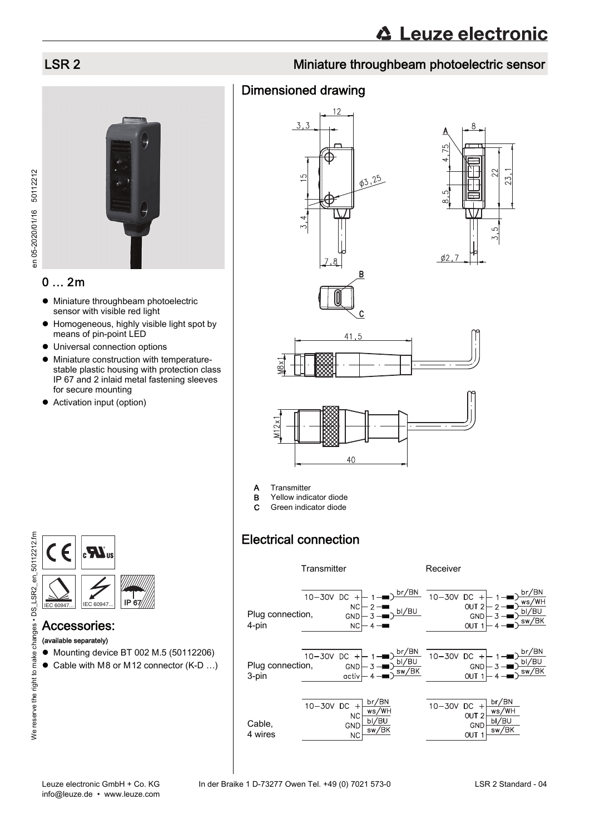### LSR 2 Miniature throughbeam photoelectric sensor

#### Dimensioned drawing







 $03.25$ 

B





- **B** Yellow indicator diode
- C Green indicator diode

#### Electrical connection





#### 0 … 2m

- $\bullet$  Miniature throughbeam photoelectric sensor with visible red light
- Homogeneous, highly visible light spot by means of pin-point LED
- Universal connection options
- $\bullet$  Miniature construction with temperaturestable plastic housing with protection class IP 67 and 2 inlaid metal fastening sleeves for secure mounting
- Activation input (option)





# Accessories:

- (available separately)
- Mounting device BT 002 M.5 (50112206)
- Cable with M8 or M12 connector (K-D ...)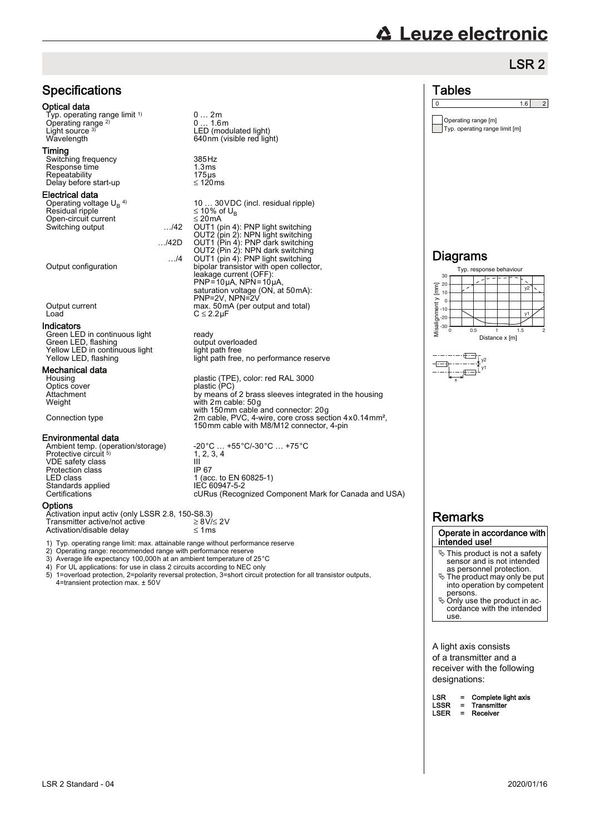# **△ Leuze electronic**

Operating range [m] Typ. operating range limit [m]

 $\begin{array}{|c|c|c|c|c|}\n\hline\n0 & 1.6 & 2 \\
\hline\n\end{array}$ 

**Tables** 

## LSR 2

| <b>Specifications</b>                                                                                                                                                                                                                                                                                                                         |                                                                                                                                                                                                                                                                                                                                                                                                                       |
|-----------------------------------------------------------------------------------------------------------------------------------------------------------------------------------------------------------------------------------------------------------------------------------------------------------------------------------------------|-----------------------------------------------------------------------------------------------------------------------------------------------------------------------------------------------------------------------------------------------------------------------------------------------------------------------------------------------------------------------------------------------------------------------|
| Optical data<br>Typ. operating range limit <sup>1)</sup><br>Operating range <sup>2)</sup><br>Light source 3)<br>Wavelength                                                                                                                                                                                                                    | 02m<br>01.6m<br>LED (modulated light)<br>640nm (visible red light)                                                                                                                                                                                                                                                                                                                                                    |
| Timing<br>Switching frequency<br>Response time<br>Repeatability<br>Delay before start-up                                                                                                                                                                                                                                                      | 385 Hz<br>1.3 <sub>ms</sub><br>$175\,\mu s$<br>$\leq$ 120ms                                                                                                                                                                                                                                                                                                                                                           |
| Electrical data<br>Operating voltage $U_B$ <sup>4)</sup><br>Residual ripple<br>Open-circuit current<br>$\ldots$ /42<br>Switching output<br>$\ldots$ /42D<br>$\ldots$ /4<br>Output configuration                                                                                                                                               | 10  30 VDC (incl. residual ripple)<br>≤ 10% of U <sub>B</sub><br>$\leq$ 20 mA<br>OUT1 (pin 4): PNP light switching<br>OUT2 (pin 2): NPN light switching<br>OUT1 (Pin 4): PNP dark switching<br>OUT2 (Pin 2): NPN dark switching<br>OUT1 (pin 4): PNP light switching<br>bipolar transistor with open collector,<br>leakage current (OFF):<br>$PNP = 10\mu A$ , $NPN = 10\mu A$ ,<br>saturation voltage (ON, at 50mA): |
| Output current<br>Load                                                                                                                                                                                                                                                                                                                        | PNP=2V, NPN=2V<br>max. 50 mA (per output and total)<br>$C \leq 2.2 \mu F$                                                                                                                                                                                                                                                                                                                                             |
| Indicators<br>Green LED in continuous light<br>Green LED, flashing<br>Yellow LED in continuous light<br>Yellow LED, flashing                                                                                                                                                                                                                  | ready<br>output overloaded<br>light path free<br>light path free, no performance reserve                                                                                                                                                                                                                                                                                                                              |
| Mechanical data<br>Housing<br>Optics cover<br>Attachment<br>Weight<br>Connection type                                                                                                                                                                                                                                                         | plastic (TPE), color: red RAL 3000<br>plastic (PC)<br>by means of 2 brass sleeves integrated in the housing<br>with 2m cable: 50g<br>with 150mm cable and connector: 20g<br>2m cable, PVC, 4-wire, core cross section 4x0.14 mm <sup>2</sup> ,<br>150mm cable with M8/M12 connector, 4-pin                                                                                                                            |
| Environmental data<br>Ambient temp. (operation/storage)<br>Protective circuit 5)<br>VDE safety class<br>Protection class<br>LED class<br>Standards applied<br>Certifications                                                                                                                                                                  | -20°C  +55°C/-30°C  +75°C<br>1, 2, 3, 4<br>Ш<br>IP 67<br>1 (acc. to EN 60825-1)<br>IEC 60947-5-2<br>cURus (Recognized Component Mark for Canada and USA)                                                                                                                                                                                                                                                              |
| Options<br>Activation input activ (only LSSR 2.8, 150-S8.3)<br>Transmitter active/not active<br>Activation/disable delay                                                                                                                                                                                                                      | $\geq$ 8V/ $\leq$ 2V<br>$\leq 1$ ms                                                                                                                                                                                                                                                                                                                                                                                   |
| 1) Typ. operating range limit: max. attainable range without performance reserve<br>2) Operating range: recommended range with performance reserve<br>3) Average life expectancy 100,000h at an ambient temperature of 25°C<br>4) For UL applications: for use in class 2 circuits according to NEC only<br>4=transient protection max. ± 50V | 5) 1=overload protection, 2=polarity reversal protection, 3=short circuit protection for all transistor outputs,                                                                                                                                                                                                                                                                                                      |

#### Diagrams 30 Typ. response behaviour





#### Remarks

#### Operate in accordance with intended use!

- This product is not a safety sensor and is not intended as personnel protection.
- The product may only be put into operation by competent persons. Only use the product in ac-cordance with the intended
- use.

A light axis consists of a transmitter and a receiver with the following designations:

| LSR  |          | Complete light axis |
|------|----------|---------------------|
| LSSR | $=$      | Transmitter         |
| LSER | $\equiv$ | Receiver            |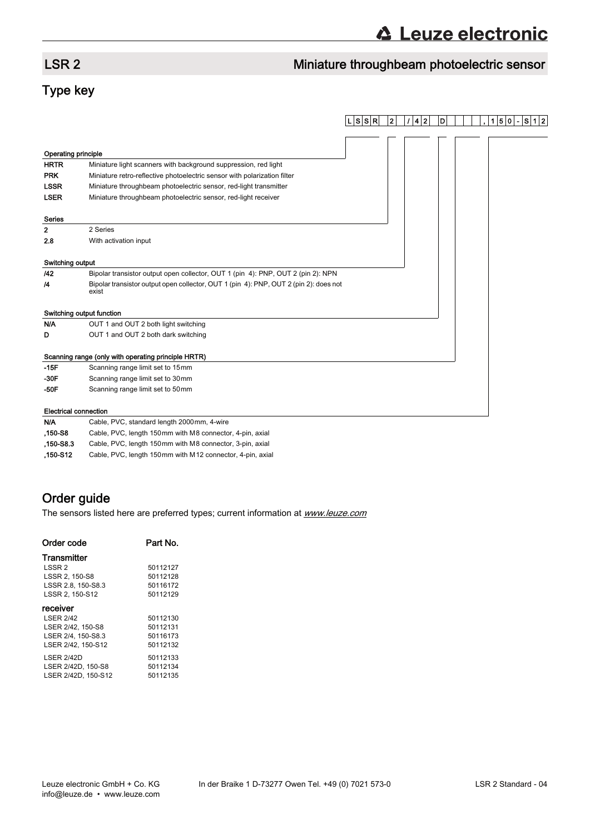## LSR 2 Miniature throughbeam photoelectric sensor

## Type key

|                            |                                                                                                | ∣L∣S∣S∣R∣ | $\mathbf{2}$ | 4 2 | D | $1 5 0 -$ | S 1 2 |
|----------------------------|------------------------------------------------------------------------------------------------|-----------|--------------|-----|---|-----------|-------|
|                            |                                                                                                |           |              |     |   |           |       |
|                            |                                                                                                |           |              |     |   |           |       |
| <b>Operating principle</b> |                                                                                                |           |              |     |   |           |       |
| <b>HRTR</b>                | Miniature light scanners with background suppression, red light                                |           |              |     |   |           |       |
| <b>PRK</b>                 | Miniature retro-reflective photoelectric sensor with polarization filter                       |           |              |     |   |           |       |
| <b>LSSR</b>                | Miniature throughbeam photoelectric sensor, red-light transmitter                              |           |              |     |   |           |       |
| <b>LSER</b>                | Miniature throughbeam photoelectric sensor, red-light receiver                                 |           |              |     |   |           |       |
| <b>Series</b>              |                                                                                                |           |              |     |   |           |       |
| 2                          | 2 Series                                                                                       |           |              |     |   |           |       |
| 2.8                        | With activation input                                                                          |           |              |     |   |           |       |
| Switching output           |                                                                                                |           |              |     |   |           |       |
| 142                        | Bipolar transistor output open collector, OUT 1 (pin 4): PNP, OUT 2 (pin 2): NPN               |           |              |     |   |           |       |
| 14                         | Bipolar transistor output open collector, OUT 1 (pin 4): PNP, OUT 2 (pin 2): does not<br>exist |           |              |     |   |           |       |
|                            | Switching output function                                                                      |           |              |     |   |           |       |
| N/A                        | OUT 1 and OUT 2 both light switching                                                           |           |              |     |   |           |       |
| D                          | OUT 1 and OUT 2 both dark switching                                                            |           |              |     |   |           |       |
|                            | Scanning range (only with operating principle HRTR)                                            |           |              |     |   |           |       |
| $-15F$                     | Scanning range limit set to 15mm                                                               |           |              |     |   |           |       |
| $-30F$                     | Scanning range limit set to 30mm                                                               |           |              |     |   |           |       |
| $-50F$                     | Scanning range limit set to 50mm                                                               |           |              |     |   |           |       |
|                            | <b>Electrical connection</b>                                                                   |           |              |     |   |           |       |
| N/A                        | Cable, PVC, standard length 2000mm, 4-wire                                                     |           |              |     |   |           |       |

| <b>N/A</b> | Cable, PVC, standard length 2000mm, 4-wire                |
|------------|-----------------------------------------------------------|
| .150-S8    | Cable, PVC, length 150mm with M8 connector, 4-pin, axial  |
| .150-S8.3  | Cable, PVC, length 150mm with M8 connector, 3-pin, axial  |
| .150-S12   | Cable, PVC, length 150mm with M12 connector, 4-pin, axial |

### Order guide

The sensors listed here are preferred types; current information at **www.leuze.com** 

| Order code          | Part No. |
|---------------------|----------|
| Transmitter         |          |
| LSSR 2              | 50112127 |
| LSSR 2, 150-S8      | 50112128 |
| LSSR 2.8, 150-S8.3  | 50116172 |
| LSSR 2. 150-S12     | 50112129 |
| receiver            |          |
| <b>LSER 2/42</b>    | 50112130 |
| LSER 2/42, 150-S8   | 50112131 |
| LSER 2/4, 150-S8.3  | 50116173 |
| LSER 2/42, 150-S12  | 50112132 |
| <b>LSER 2/42D</b>   | 50112133 |
| LSER 2/42D, 150-S8  | 50112134 |
| LSER 2/42D, 150-S12 | 50112135 |